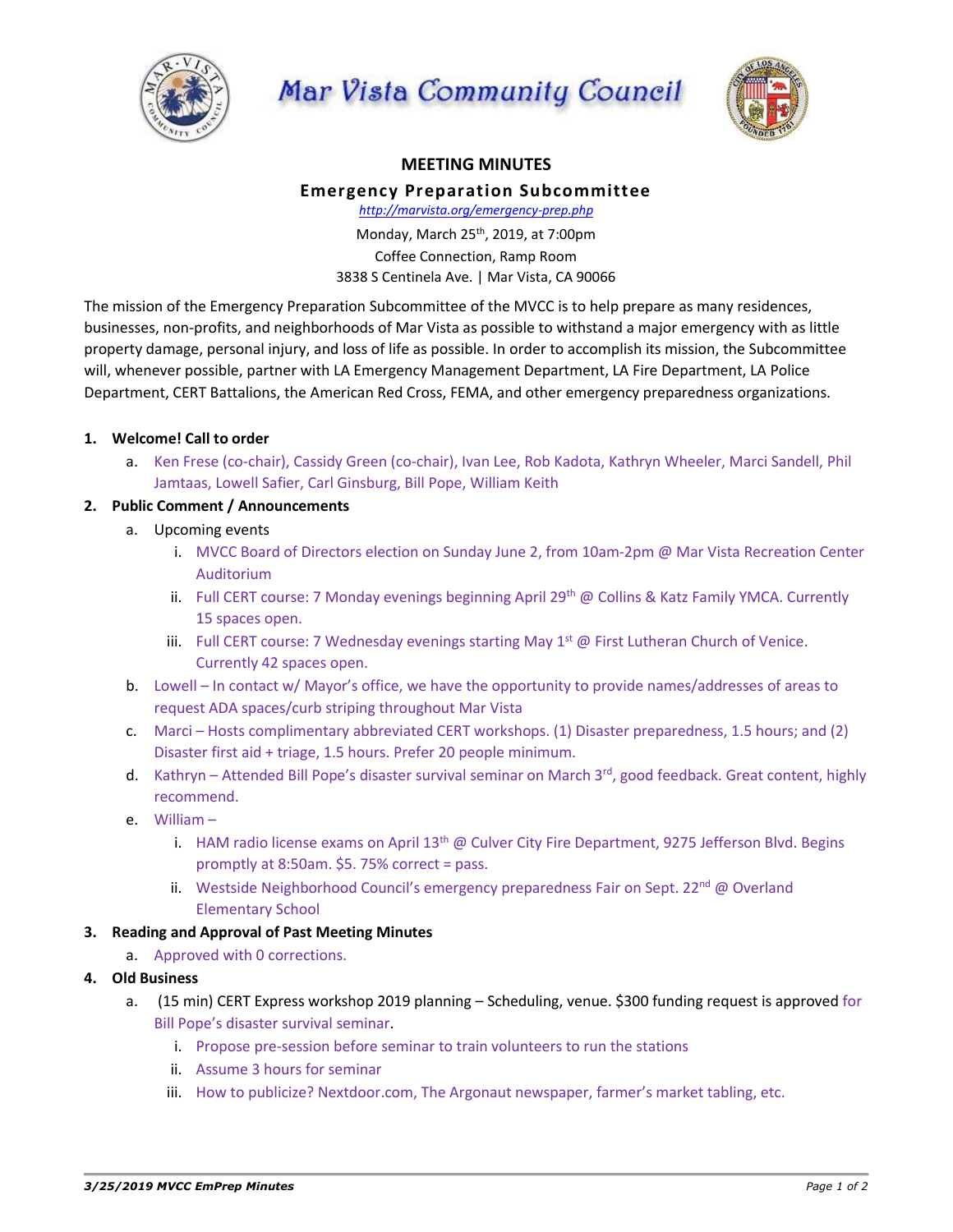

Mar Vista Community Council



# **MEETING MINUTES**

# **Emergency Preparation Subcommittee**

*http://marvista.org/emergency-prep.php*

Monday, March 25th, 2019, at 7:00pm Coffee Connection, Ramp Room 3838 S Centinela Ave. | Mar Vista, CA 90066

The mission of the Emergency Preparation Subcommittee of the MVCC is to help prepare as many residences, businesses, non-profits, and neighborhoods of Mar Vista as possible to withstand a major emergency with as little property damage, personal injury, and loss of life as possible. In order to accomplish its mission, the Subcommittee will, whenever possible, partner with LA Emergency Management Department, LA Fire Department, LA Police Department, CERT Battalions, the American Red Cross, FEMA, and other emergency preparedness organizations.

# **1. Welcome! Call to order**

a. Ken Frese (co-chair), Cassidy Green (co-chair), Ivan Lee, Rob Kadota, Kathryn Wheeler, Marci Sandell, Phil Jamtaas, Lowell Safier, Carl Ginsburg, Bill Pope, William Keith

#### **2. Public Comment / Announcements**

- a. Upcoming events
	- i. MVCC Board of Directors election on Sunday June 2, from 10am-2pm @ Mar Vista Recreation Center Auditorium
	- ii. Full CERT course: 7 Monday evenings beginning April 29<sup>th</sup> @ Collins & Katz Family YMCA. Currently 15 spaces open.
	- iii. Full CERT course: 7 Wednesday evenings starting May  $1^{st}$  @ First Lutheran Church of Venice. Currently 42 spaces open.
- b. Lowell In contact w/ Mayor's office, we have the opportunity to provide names/addresses of areas to request ADA spaces/curb striping throughout Mar Vista
- c. Marci Hosts complimentary abbreviated CERT workshops. (1) Disaster preparedness, 1.5 hours; and (2) Disaster first aid + triage, 1.5 hours. Prefer 20 people minimum.
- d. Kathryn Attended Bill Pope's disaster survival seminar on March 3<sup>rd</sup>, good feedback. Great content, highly recommend.
- e. William
	- i. HAM radio license exams on April  $13<sup>th</sup>$  @ Culver City Fire Department, 9275 Jefferson Blvd. Begins promptly at 8:50am. \$5. 75% correct = pass.
	- ii. Westside Neighborhood Council's emergency preparedness Fair on Sept.  $22^{nd}$  @ Overland Elementary School

# **3. Reading and Approval of Past Meeting Minutes**

a. Approved with 0 corrections.

# **4. Old Business**

- a. (15 min) CERT Express workshop 2019 planning Scheduling, venue. \$300 funding request is approved for Bill Pope's disaster survival seminar.
	- i. Propose pre-session before seminar to train volunteers to run the stations
	- ii. Assume 3 hours for seminar
	- iii. How to publicize? Nextdoor.com, The Argonaut newspaper, farmer's market tabling, etc.